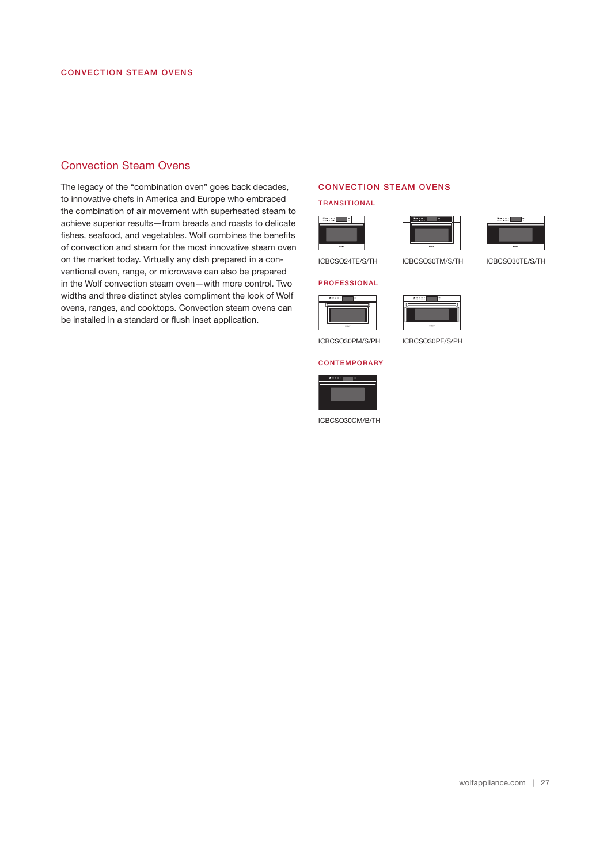## Convection Steam Ovens

The legacy of the "combination oven" goes back decades, to innovative chefs in America and Europe who embraced the combination of air movement with superheated steam to achieve superior results—from breads and roasts to delicate fishes, seafood, and vegetables. Wolf combines the benefits of convection and steam for the most innovative steam oven on the market today. Virtually any dish prepared in a conventional oven, range, or microwave can also be prepared in the Wolf convection steam oven—with more control. Two widths and three distinct styles compliment the look of Wolf ovens, ranges, and cooktops. Convection steam ovens can be installed in a standard or fush inset application.

#### CONVECTION STEAM OVENS

TRANSITIONAL







ICBCSO30TM/S/TH ICBCSO30TE/S/TH

# PROFESSIONAL ICBCSO24TE/S/TH



ICBCSO30PM/S/PH ICBCSO30PE/S/PH

#### **CONTEMPORARY**



ICBCSO30CM/B/TH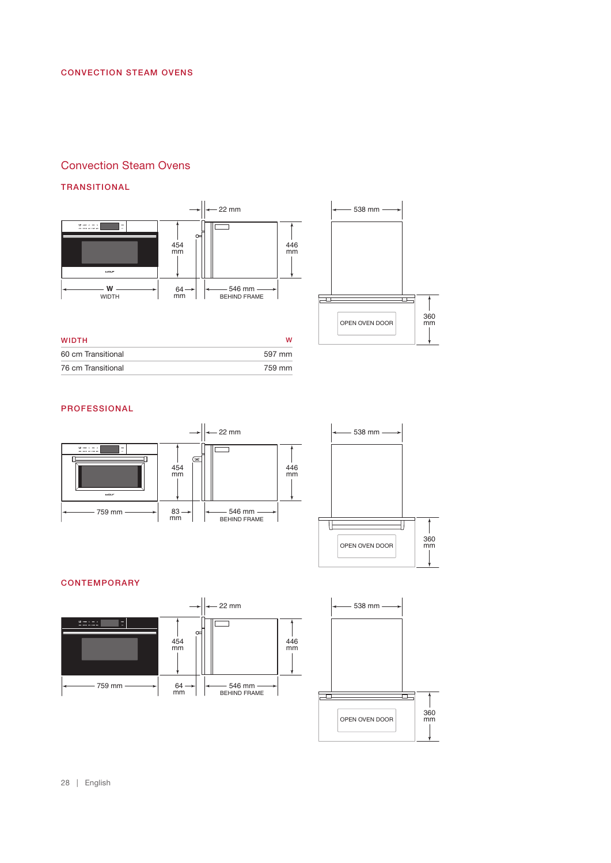## Convection Steam Ovens

#### TRANSITIONAL



| <b>WIDTH</b>       | w      |
|--------------------|--------|
| 60 cm Transitional | 597 mm |
| 76 cm Transitional | 759 mm |



#### PROFESSIONAL



## **CONTEMPORARY**







28 | English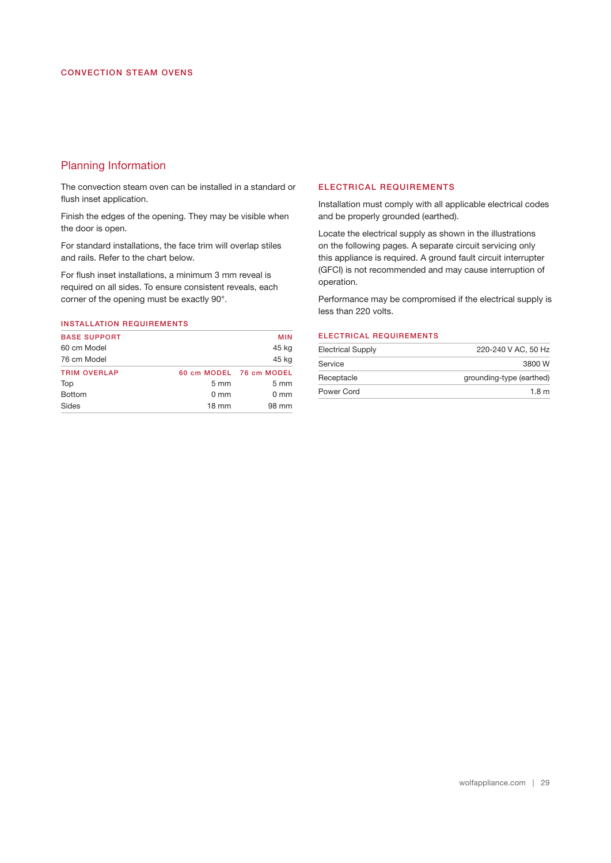## Planning Information

The convection steam oven can be installed in a standard or flush inset application.

Finish the edges of the opening. They may be visible when the door is open.

For standard installations, the face trim will overlap stiles and rails. Refer to the chart below.

For fush inset installations, a minimum 3 mm reveal is required on all sides. To ensure consistent reveals, each corner of the opening must be exactly 90°.

## INSTALLATION REQUIREMENTS

| <b>BASE SUPPORT</b> |                  | <b>MIN</b>              |
|---------------------|------------------|-------------------------|
| 60 cm Model         |                  | 45 kg                   |
| 76 cm Model         |                  | 45 kg                   |
| <b>TRIM OVERLAP</b> |                  | 60 cm MODEL 76 cm MODEL |
| Top                 | $5 \, \text{mm}$ | $5 \text{ mm}$          |
| <b>Bottom</b>       | $0 \text{ mm}$   | $0 \text{ mm}$          |
| Sides               | $18 \text{ mm}$  | 98 mm                   |

#### ELECTRICAL REQUIREMENTS

Installation must comply with all applicable electrical codes and be properly grounded (earthed).

Locate the electrical supply as shown in the illustrations on the following pages. A separate circuit servicing only this appliance is required. A ground fault circuit interrupter (GFCI) is not recommended and may cause interruption of operation.

Performance may be compromised if the electrical supply is less than 220 volts.

#### ELECTRICAL REQUIREMENTS

| <b>Electrical Supply</b>               | 220-240 V AC, 50 Hz |
|----------------------------------------|---------------------|
| Service                                | 3800 W              |
| grounding-type (earthed)<br>Receptacle |                     |
| Power Cord                             | 1.8 <sub>m</sub>    |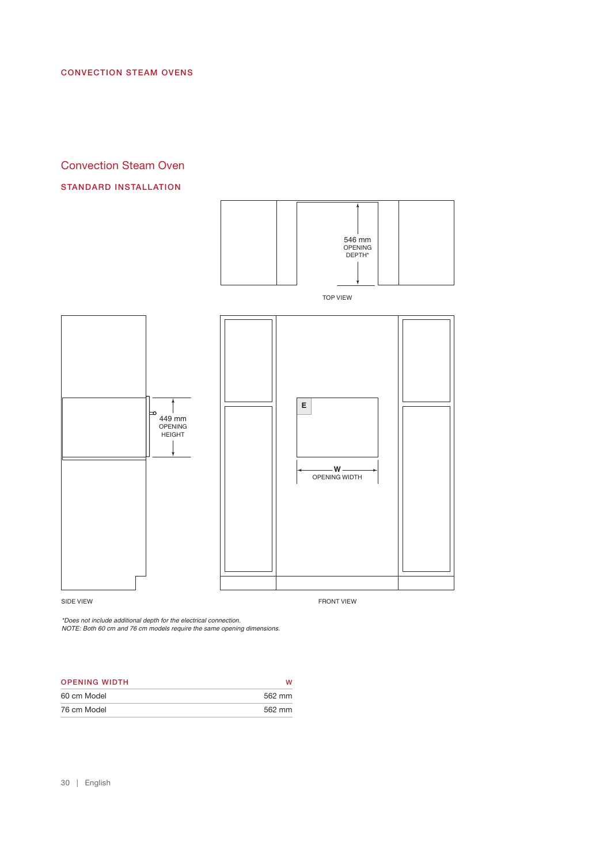### CONVECTION STEAM OVENS

# Convection Steam Oven

### STANDARD INSTALLATION



SIDE VIEW FRONT VIEW FRONT VIEW FRONT VIEW FRONT VIEW FRONT VIEW FRONT VIEW FRONT VIEW FRONT VIEW SAME OF A STREET OF A STREET OF A STREET OF A STREET OF A STREET OF A STREET OF A STREET OF A STREET OF A STREET OF A STREET

*\*Does not include additional depth for the electrical connection.*

*NOTE: Both 60 cm and 76 cm models require the same opening dimensions.*

| <b>OPENING WIDTH</b> |        |
|----------------------|--------|
| 60 cm Model          | 562 mm |
| 76 cm Model          | 562 mm |